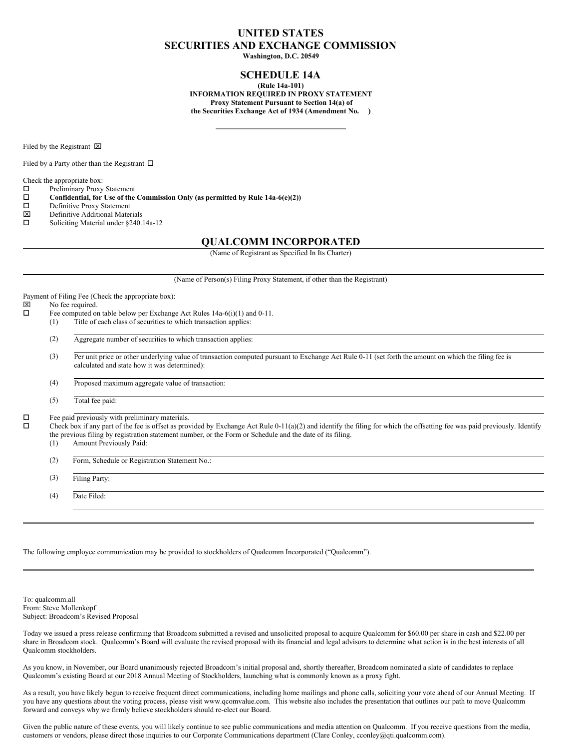# **UNITED STATES SECURITIES AND EXCHANGE COMMISSION**

**Washington, D.C. 20549**

## **SCHEDULE 14A**

**(Rule 14a-101) INFORMATION REQUIRED IN PROXY STATEMENT Proxy Statement Pursuant to Section 14(a) of the Securities Exchange Act of 1934 (Amendment No. )**

Filed by the Registrant  $\boxtimes$ 

Filed by a Party other than the Registrant  $\Box$ 

Check the appropriate box:

 $\square$  Preliminary Proxy Statement<br> $\square$  Confidential, for Use of the

 $\square$  **Confidential, for Use of the Commission Only (as permitted by Rule 14a-6(e)(2))**<br> $\square$  Definitive Proxy Statement

- □ Definitive Proxy Statement<br> **図** Definitive Additional Mater
- $\boxtimes$  Definitive Additional Materials<br> $\square$  Soliciting Material under \$240.
- Soliciting Material under §240.14a-12

### **QUALCOMM INCORPORATED**

(Name of Registrant as Specified In Its Charter)

(Name of Person(s) Filing Proxy Statement, if other than the Registrant)

Payment of Filing Fee (Check the appropriate box):  $\boxtimes$  No fee required.<br> $\square$  Fee computed on Fee computed on table below per Exchange Act Rules 14a-6(i)(1) and 0-11. (1) Title of each class of securities to which transaction applies: (2) Aggregate number of securities to which transaction applies: (3) Per unit price or other underlying value of transaction computed pursuant to Exchange Act Rule 0-11 (set forth the amount on which the filing fee is calculated and state how it was determined): (4) Proposed maximum aggregate value of transaction: (5) Total fee paid:  $\Box$  Fee paid previously with preliminary materials.<br> $\Box$  Check box if any part of the fee is offeet as provided. o Check box if any part of the fee is offset as provided by Exchange Act Rule 0-11(a)(2) and identify the filing for which the offsetting fee was paid previously. Identify the previous filing by registration statement number, or the Form or Schedule and the date of its filing. (1) Amount Previously Paid: (2) Form, Schedule or Registration Statement No.: (3) Filing Party: (4) Date Filed:

The following employee communication may be provided to stockholders of Qualcomm Incorporated ("Qualcomm").

To: qualcomm.all From: Steve Mollenkopf Subject: Broadcom's Revised Proposal

Today we issued a press release confirming that Broadcom submitted a revised and unsolicited proposal to acquire Qualcomm for \$60.00 per share in cash and \$22.00 per share in Broadcom stock. Qualcomm's Board will evaluate the revised proposal with its financial and legal advisors to determine what action is in the best interests of all Qualcomm stockholders.

As you know, in November, our Board unanimously rejected Broadcom's initial proposal and, shortly thereafter, Broadcom nominated a slate of candidates to replace Qualcomm's existing Board at our 2018 Annual Meeting of Stockholders, launching what is commonly known as a proxy fight.

As a result, you have likely begun to receive frequent direct communications, including home mailings and phone calls, soliciting your vote ahead of our Annual Meeting. If you have any questions about the voting process, please visit www.qcomvalue.com. This website also includes the presentation that outlines our path to move Qualcomm forward and conveys why we firmly believe stockholders should re-elect our Board.

Given the public nature of these events, you will likely continue to see public communications and media attention on Qualcomm. If you receive questions from the media, customers or vendors, please direct those inquiries to our Corporate Communications department (Clare Conley, cconley@qti.qualcomm.com).